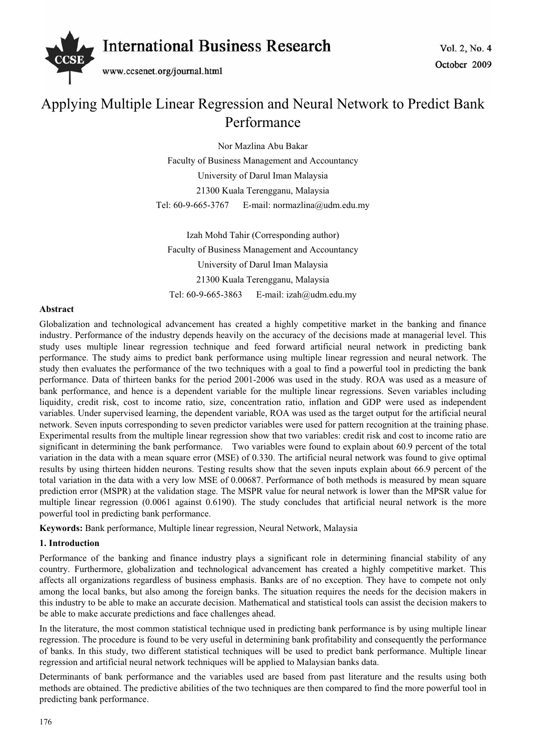

# Applying Multiple Linear Regression and Neural Network to Predict Bank Performance

Nor Mazlina Abu Bakar Faculty of Business Management and Accountancy University of Darul Iman Malaysia 21300 Kuala Terengganu, Malaysia Tel: 60-9-665-3767 E-mail: normazlina@udm.edu.my

Izah Mohd Tahir (Corresponding author) Faculty of Business Management and Accountancy University of Darul Iman Malaysia 21300 Kuala Terengganu, Malaysia Tel: 60-9-665-3863 E-mail: izah@udm.edu.my

#### **Abstract**

Globalization and technological advancement has created a highly competitive market in the banking and finance industry. Performance of the industry depends heavily on the accuracy of the decisions made at managerial level. This study uses multiple linear regression technique and feed forward artificial neural network in predicting bank performance. The study aims to predict bank performance using multiple linear regression and neural network. The study then evaluates the performance of the two techniques with a goal to find a powerful tool in predicting the bank performance. Data of thirteen banks for the period 2001-2006 was used in the study. ROA was used as a measure of bank performance, and hence is a dependent variable for the multiple linear regressions. Seven variables including liquidity, credit risk, cost to income ratio, size, concentration ratio, inflation and GDP were used as independent variables. Under supervised learning, the dependent variable, ROA was used as the target output for the artificial neural network. Seven inputs corresponding to seven predictor variables were used for pattern recognition at the training phase. Experimental results from the multiple linear regression show that two variables: credit risk and cost to income ratio are significant in determining the bank performance. Two variables were found to explain about 60.9 percent of the total variation in the data with a mean square error (MSE) of 0.330. The artificial neural network was found to give optimal results by using thirteen hidden neurons. Testing results show that the seven inputs explain about 66.9 percent of the total variation in the data with a very low MSE of 0.00687. Performance of both methods is measured by mean square prediction error (MSPR) at the validation stage. The MSPR value for neural network is lower than the MPSR value for multiple linear regression (0.0061 against 0.6190). The study concludes that artificial neural network is the more powerful tool in predicting bank performance.

**Keywords:** Bank performance, Multiple linear regression, Neural Network, Malaysia

#### **1. Introduction**

Performance of the banking and finance industry plays a significant role in determining financial stability of any country. Furthermore, globalization and technological advancement has created a highly competitive market. This affects all organizations regardless of business emphasis. Banks are of no exception. They have to compete not only among the local banks, but also among the foreign banks. The situation requires the needs for the decision makers in this industry to be able to make an accurate decision. Mathematical and statistical tools can assist the decision makers to be able to make accurate predictions and face challenges ahead.

In the literature, the most common statistical technique used in predicting bank performance is by using multiple linear regression. The procedure is found to be very useful in determining bank profitability and consequently the performance of banks. In this study, two different statistical techniques will be used to predict bank performance. Multiple linear regression and artificial neural network techniques will be applied to Malaysian banks data.

Determinants of bank performance and the variables used are based from past literature and the results using both methods are obtained. The predictive abilities of the two techniques are then compared to find the more powerful tool in predicting bank performance.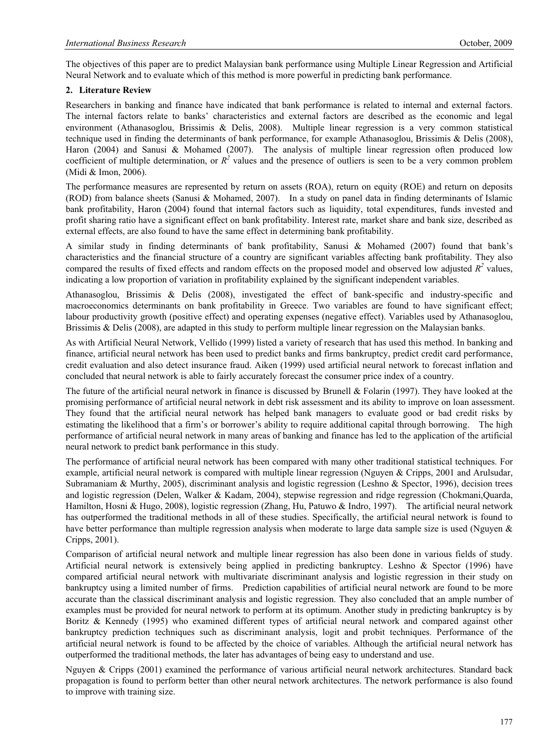The objectives of this paper are to predict Malaysian bank performance using Multiple Linear Regression and Artificial Neural Network and to evaluate which of this method is more powerful in predicting bank performance.

#### **2. Literature Review**

Researchers in banking and finance have indicated that bank performance is related to internal and external factors. The internal factors relate to banks' characteristics and external factors are described as the economic and legal environment (Athanasoglou, Brissimis & Delis, 2008). Multiple linear regression is a very common statistical technique used in finding the determinants of bank performance, for example Athanasoglou, Brissimis & Delis (2008), Haron (2004) and Sanusi & Mohamed (2007). The analysis of multiple linear regression often produced low coefficient of multiple determination, or  $R^2$  values and the presence of outliers is seen to be a very common problem (Midi & Imon, 2006).

The performance measures are represented by return on assets (ROA), return on equity (ROE) and return on deposits (ROD) from balance sheets (Sanusi & Mohamed, 2007). In a study on panel data in finding determinants of Islamic bank profitability, Haron (2004) found that internal factors such as liquidity, total expenditures, funds invested and profit sharing ratio have a significant effect on bank profitability. Interest rate, market share and bank size, described as external effects, are also found to have the same effect in determining bank profitability.

A similar study in finding determinants of bank profitability, Sanusi & Mohamed (2007) found that bank's characteristics and the financial structure of a country are significant variables affecting bank profitability. They also compared the results of fixed effects and random effects on the proposed model and observed low adjusted  $R<sup>2</sup>$  values, indicating a low proportion of variation in profitability explained by the significant independent variables.

Athanasoglou, Brissimis & Delis (2008), investigated the effect of bank-specific and industry-specific and macroeconomics determinants on bank profitability in Greece. Two variables are found to have significant effect; labour productivity growth (positive effect) and operating expenses (negative effect). Variables used by Athanasoglou, Brissimis & Delis (2008), are adapted in this study to perform multiple linear regression on the Malaysian banks.

As with Artificial Neural Network, Vellido (1999) listed a variety of research that has used this method. In banking and finance, artificial neural network has been used to predict banks and firms bankruptcy, predict credit card performance, credit evaluation and also detect insurance fraud. Aiken (1999) used artificial neural network to forecast inflation and concluded that neural network is able to fairly accurately forecast the consumer price index of a country.

The future of the artificial neural network in finance is discussed by Brunell & Folarin (1997). They have looked at the promising performance of artificial neural network in debt risk assessment and its ability to improve on loan assessment. They found that the artificial neural network has helped bank managers to evaluate good or bad credit risks by estimating the likelihood that a firm's or borrower's ability to require additional capital through borrowing. The high performance of artificial neural network in many areas of banking and finance has led to the application of the artificial neural network to predict bank performance in this study.

The performance of artificial neural network has been compared with many other traditional statistical techniques. For example, artificial neural network is compared with multiple linear regression (Nguyen & Cripps, 2001 and Arulsudar, Subramaniam & Murthy, 2005), discriminant analysis and logistic regression (Leshno & Spector, 1996), decision trees and logistic regression (Delen, Walker & Kadam, 2004), stepwise regression and ridge regression (Chokmani,Quarda, Hamilton, Hosni & Hugo, 2008), logistic regression (Zhang, Hu, Patuwo & Indro, 1997). The artificial neural network has outperformed the traditional methods in all of these studies. Specifically, the artificial neural network is found to have better performance than multiple regression analysis when moderate to large data sample size is used (Nguyen & Cripps, 2001).

Comparison of artificial neural network and multiple linear regression has also been done in various fields of study. Artificial neural network is extensively being applied in predicting bankruptcy. Leshno & Spector (1996) have compared artificial neural network with multivariate discriminant analysis and logistic regression in their study on bankruptcy using a limited number of firms. Prediction capabilities of artificial neural network are found to be more accurate than the classical discriminant analysis and logistic regression. They also concluded that an ample number of examples must be provided for neural network to perform at its optimum. Another study in predicting bankruptcy is by Boritz & Kennedy (1995) who examined different types of artificial neural network and compared against other bankruptcy prediction techniques such as discriminant analysis, logit and probit techniques. Performance of the artificial neural network is found to be affected by the choice of variables. Although the artificial neural network has outperformed the traditional methods, the later has advantages of being easy to understand and use.

Nguyen & Cripps (2001) examined the performance of various artificial neural network architectures. Standard back propagation is found to perform better than other neural network architectures. The network performance is also found to improve with training size.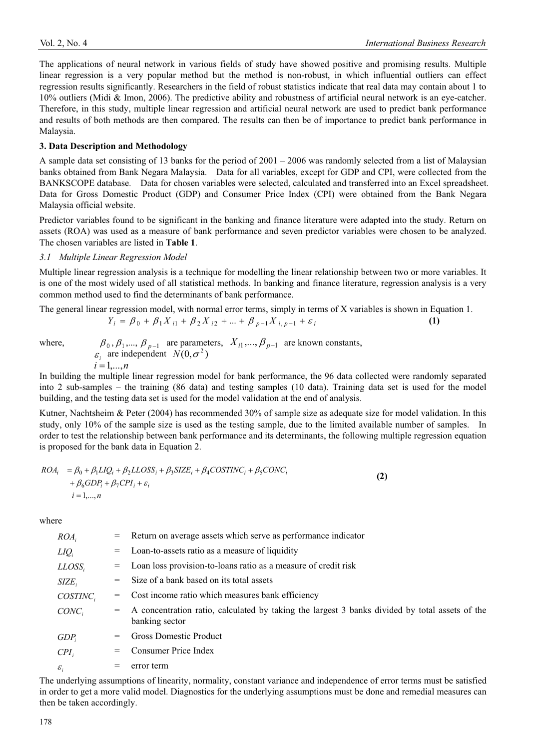The applications of neural network in various fields of study have showed positive and promising results. Multiple linear regression is a very popular method but the method is non-robust, in which influential outliers can effect regression results significantly. Researchers in the field of robust statistics indicate that real data may contain about 1 to 10% outliers (Midi & Imon, 2006). The predictive ability and robustness of artificial neural network is an eye-catcher. Therefore, in this study, multiple linear regression and artificial neural network are used to predict bank performance and results of both methods are then compared. The results can then be of importance to predict bank performance in Malaysia.

#### **3. Data Description and Methodology**

A sample data set consisting of 13 banks for the period of 2001 – 2006 was randomly selected from a list of Malaysian banks obtained from Bank Negara Malaysia. Data for all variables, except for GDP and CPI, were collected from the BANKSCOPE database. Data for chosen variables were selected, calculated and transferred into an Excel spreadsheet. Data for Gross Domestic Product (GDP) and Consumer Price Index (CPI) were obtained from the Bank Negara Malaysia official website.

Predictor variables found to be significant in the banking and finance literature were adapted into the study. Return on assets (ROA) was used as a measure of bank performance and seven predictor variables were chosen to be analyzed. The chosen variables are listed in **Table 1**.

#### *3.1 Multiple Linear Regression Model*

Multiple linear regression analysis is a technique for modelling the linear relationship between two or more variables. It is one of the most widely used of all statistical methods. In banking and finance literature, regression analysis is a very common method used to find the determinants of bank performance.

The general linear regression model, with normal error terms, simply in terms of X variables is shown in Equation 1.

$$
Y_i = \beta_0 + \beta_1 X_{i1} + \beta_2 X_{i2} + \dots + \beta_{p-1} X_{i,p-1} + \varepsilon_i
$$
 (1)

where, 
$$
\beta_0, \beta_1, ..., \beta_{p-1}
$$
 are parameters,  $X_{i1}, ..., \beta_{p-1}$  are known constants,  
\n $\varepsilon_i$  are independent  $N(0, \sigma^2)$   
\n $i = 1,...,n$ 

In building the multiple linear regression model for bank performance, the 96 data collected were randomly separated into 2 sub-samples – the training (86 data) and testing samples (10 data). Training data set is used for the model building, and the testing data set is used for the model validation at the end of analysis.

Kutner, Nachtsheim & Peter (2004) has recommended 30% of sample size as adequate size for model validation. In this study, only 10% of the sample size is used as the testing sample, due to the limited available number of samples. In order to test the relationship between bank performance and its determinants, the following multiple regression equation is proposed for the bank data in Equation 2.

$$
ROA_i = \beta_0 + \beta_1 LIQ_i + \beta_2 LLOSS_i + \beta_3 SIZE_i + \beta_4 COSTINC_i + \beta_5 CONC_i
$$
  
+  $\beta_6 GDP_i + \beta_7 CPI_i + \varepsilon_i$   
 $i = 1,...,n$  (2)

where

| $ROA_i$           | $=$ | Return on average assets which serve as performance indicator                                                    |
|-------------------|-----|------------------------------------------------------------------------------------------------------------------|
| $LIQ_i$           | $=$ | Loan-to-assets ratio as a measure of liquidity                                                                   |
| $LLOSS_i$         | $=$ | Loan loss provision-to-loans ratio as a measure of credit risk                                                   |
| $SIZE_i$          |     | Size of a bank based on its total assets                                                                         |
| $COSTINC_i$       | $=$ | Cost income ratio which measures bank efficiency                                                                 |
| $CONC_i$          | $=$ | A concentration ratio, calculated by taking the largest 3 banks divided by total assets of the<br>banking sector |
| GDP <sub>i</sub>  | $=$ | <b>Gross Domestic Product</b>                                                                                    |
| $CPI_i$           | $=$ | Consumer Price Index                                                                                             |
| $\varepsilon_{i}$ |     | error term                                                                                                       |
|                   |     |                                                                                                                  |

The underlying assumptions of linearity, normality, constant variance and independence of error terms must be satisfied in order to get a more valid model. Diagnostics for the underlying assumptions must be done and remedial measures can then be taken accordingly.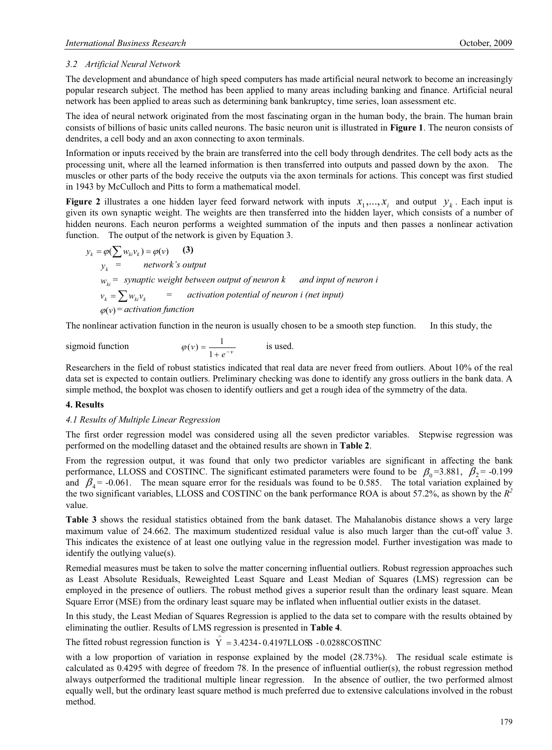## *3.2 Artificial Neural Network*

The development and abundance of high speed computers has made artificial neural network to become an increasingly popular research subject. The method has been applied to many areas including banking and finance. Artificial neural network has been applied to areas such as determining bank bankruptcy, time series, loan assessment etc.

The idea of neural network originated from the most fascinating organ in the human body, the brain. The human brain consists of billions of basic units called neurons. The basic neuron unit is illustrated in **Figure 1**. The neuron consists of dendrites, a cell body and an axon connecting to axon terminals.

Information or inputs received by the brain are transferred into the cell body through dendrites. The cell body acts as the processing unit, where all the learned information is then transferred into outputs and passed down by the axon. The muscles or other parts of the body receive the outputs via the axon terminals for actions. This concept was first studied in 1943 by McCulloch and Pitts to form a mathematical model.

**Figure 2** illustrates a one hidden layer feed forward network with inputs  $x_1, \ldots, x_i$  and output  $y_k$ . Each input is given its own synaptic weight. The weights are then transferred into the hidden layer, which consists of a number of hidden neurons. Each neuron performs a weighted summation of the inputs and then passes a nonlinear activation function. The output of the network is given by Equation 3.

$$
y_k = \varphi(\sum w_{ki}v_k) = \varphi(v)
$$
 (3)  
\n
$$
y_k = \text{network's output}
$$
  
\n
$$
w_{ki} = \text{synaptic weight between output of neuron } k \text{ and input of neuron } i
$$
  
\n
$$
v_k = \sum w_{ki}v_k = \text{activation potential of neuron } i \text{ (net input)}
$$
  
\n
$$
\varphi(v) = activation function
$$

 $\varphi(v)$ 

The nonlinear activation function in the neuron is usually chosen to be a smooth step function. In this study, the

 $sigma$  *igmoid function* 

$$
= \frac{1}{1+e^{-\nu}} \qquad \qquad \text{is used.}
$$

Researchers in the field of robust statistics indicated that real data are never freed from outliers. About 10% of the real data set is expected to contain outliers. Preliminary checking was done to identify any gross outliers in the bank data. A simple method, the boxplot was chosen to identify outliers and get a rough idea of the symmetry of the data.

#### **4. Results**

#### *4.1 Results of Multiple Linear Regression*

The first order regression model was considered using all the seven predictor variables. Stepwise regression was performed on the modelling dataset and the obtained results are shown in **Table 2**.

From the regression output, it was found that only two predictor variables are significant in affecting the bank performance, LLOSS and COSTINC. The significant estimated parameters were found to be  $\beta_0 = 3.881$ ,  $\beta_2 = -0.199$ and  $\beta_4$  = -0.061. The mean square error for the residuals was found to be 0.585. The total variation explained by the two significant variables, LLOSS and COSTINC on the bank performance ROA is about 57.2%, as shown by the  $R^2$ value.

**Table 3** shows the residual statistics obtained from the bank dataset. The Mahalanobis distance shows a very large maximum value of 24.662. The maximum studentized residual value is also much larger than the cut-off value 3. This indicates the existence of at least one outlying value in the regression model. Further investigation was made to identify the outlying value(s).

Remedial measures must be taken to solve the matter concerning influential outliers. Robust regression approaches such as Least Absolute Residuals, Reweighted Least Square and Least Median of Squares (LMS) regression can be employed in the presence of outliers. The robust method gives a superior result than the ordinary least square. Mean Square Error (MSE) from the ordinary least square may be inflated when influential outlier exists in the dataset.

In this study, the Least Median of Squares Regression is applied to the data set to compare with the results obtained by eliminating the outlier. Results of LMS regression is presented in **Table 4**.

The fitted robust regression function is  $\hat{Y} = 3.4234 - 0.4197$ LLOSS - 0.0288COSTINC

with a low proportion of variation in response explained by the model (28.73%). The residual scale estimate is calculated as 0.4295 with degree of freedom 78. In the presence of influential outlier(s), the robust regression method always outperformed the traditional multiple linear regression. In the absence of outlier, the two performed almost equally well, but the ordinary least square method is much preferred due to extensive calculations involved in the robust method.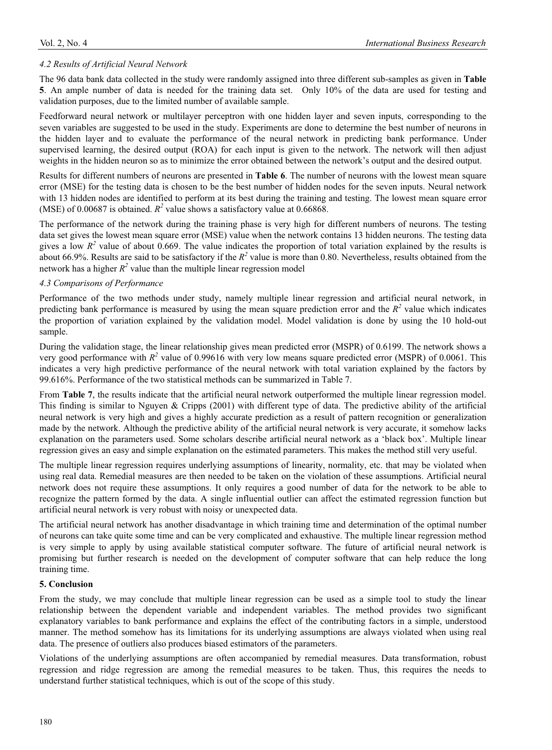## *4.2 Results of Artificial Neural Network*

The 96 data bank data collected in the study were randomly assigned into three different sub-samples as given in **Table 5**. An ample number of data is needed for the training data set. Only 10% of the data are used for testing and validation purposes, due to the limited number of available sample.

Feedforward neural network or multilayer perceptron with one hidden layer and seven inputs, corresponding to the seven variables are suggested to be used in the study. Experiments are done to determine the best number of neurons in the hidden layer and to evaluate the performance of the neural network in predicting bank performance. Under supervised learning, the desired output (ROA) for each input is given to the network. The network will then adjust weights in the hidden neuron so as to minimize the error obtained between the network's output and the desired output.

Results for different numbers of neurons are presented in **Table 6**. The number of neurons with the lowest mean square error (MSE) for the testing data is chosen to be the best number of hidden nodes for the seven inputs. Neural network with 13 hidden nodes are identified to perform at its best during the training and testing. The lowest mean square error (MSE) of 0.00687 is obtained.  $R^2$  value shows a satisfactory value at 0.66868.

The performance of the network during the training phase is very high for different numbers of neurons. The testing data set gives the lowest mean square error (MSE) value when the network contains 13 hidden neurons. The testing data gives a low  $R^2$  value of about 0.669. The value indicates the proportion of total variation explained by the results is about 66.9%. Results are said to be satisfactory if the  $R^2$  value is more than 0.80. Nevertheless, results obtained from the network has a higher  $R^2$  value than the multiple linear regression model

#### *4.3 Comparisons of Performance*

Performance of the two methods under study, namely multiple linear regression and artificial neural network, in predicting bank performance is measured by using the mean square prediction error and the  $R<sup>2</sup>$  value which indicates the proportion of variation explained by the validation model. Model validation is done by using the 10 hold-out sample.

During the validation stage, the linear relationship gives mean predicted error (MSPR) of 0.6199. The network shows a very good performance with  $R^2$  value of 0.99616 with very low means square predicted error (MSPR) of 0.0061. This indicates a very high predictive performance of the neural network with total variation explained by the factors by 99.616%. Performance of the two statistical methods can be summarized in Table 7.

From **Table 7**, the results indicate that the artificial neural network outperformed the multiple linear regression model. This finding is similar to Nguyen & Cripps (2001) with different type of data. The predictive ability of the artificial neural network is very high and gives a highly accurate prediction as a result of pattern recognition or generalization made by the network. Although the predictive ability of the artificial neural network is very accurate, it somehow lacks explanation on the parameters used. Some scholars describe artificial neural network as a 'black box'. Multiple linear regression gives an easy and simple explanation on the estimated parameters. This makes the method still very useful.

The multiple linear regression requires underlying assumptions of linearity, normality, etc. that may be violated when using real data. Remedial measures are then needed to be taken on the violation of these assumptions. Artificial neural network does not require these assumptions. It only requires a good number of data for the network to be able to recognize the pattern formed by the data. A single influential outlier can affect the estimated regression function but artificial neural network is very robust with noisy or unexpected data.

The artificial neural network has another disadvantage in which training time and determination of the optimal number of neurons can take quite some time and can be very complicated and exhaustive. The multiple linear regression method is very simple to apply by using available statistical computer software. The future of artificial neural network is promising but further research is needed on the development of computer software that can help reduce the long training time.

#### **5. Conclusion**

From the study, we may conclude that multiple linear regression can be used as a simple tool to study the linear relationship between the dependent variable and independent variables. The method provides two significant explanatory variables to bank performance and explains the effect of the contributing factors in a simple, understood manner. The method somehow has its limitations for its underlying assumptions are always violated when using real data. The presence of outliers also produces biased estimators of the parameters.

Violations of the underlying assumptions are often accompanied by remedial measures. Data transformation, robust regression and ridge regression are among the remedial measures to be taken. Thus, this requires the needs to understand further statistical techniques, which is out of the scope of this study.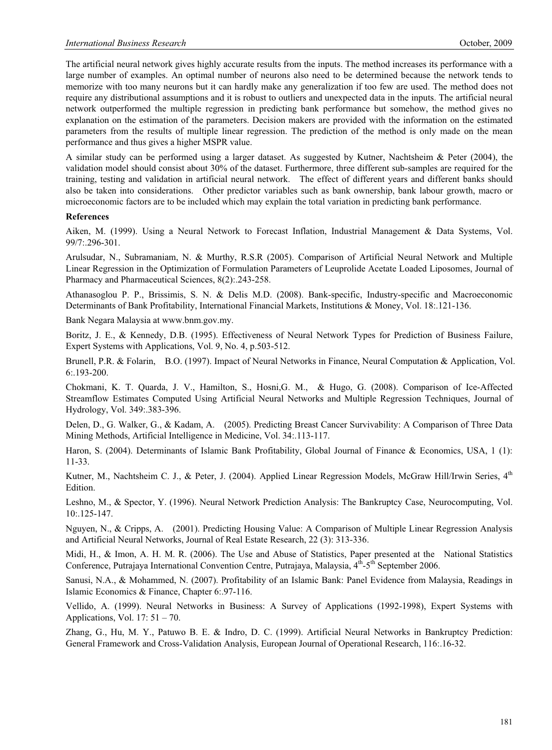The artificial neural network gives highly accurate results from the inputs. The method increases its performance with a large number of examples. An optimal number of neurons also need to be determined because the network tends to memorize with too many neurons but it can hardly make any generalization if too few are used. The method does not require any distributional assumptions and it is robust to outliers and unexpected data in the inputs. The artificial neural network outperformed the multiple regression in predicting bank performance but somehow, the method gives no explanation on the estimation of the parameters. Decision makers are provided with the information on the estimated parameters from the results of multiple linear regression. The prediction of the method is only made on the mean performance and thus gives a higher MSPR value.

A similar study can be performed using a larger dataset. As suggested by Kutner, Nachtsheim & Peter (2004), the validation model should consist about 30% of the dataset. Furthermore, three different sub-samples are required for the training, testing and validation in artificial neural network. The effect of different years and different banks should also be taken into considerations. Other predictor variables such as bank ownership, bank labour growth, macro or microeconomic factors are to be included which may explain the total variation in predicting bank performance.

#### **References**

Aiken, M. (1999). Using a Neural Network to Forecast Inflation, Industrial Management & Data Systems, Vol. 99/7:.296-301.

Arulsudar, N., Subramaniam, N. & Murthy, R.S.R (2005). Comparison of Artificial Neural Network and Multiple Linear Regression in the Optimization of Formulation Parameters of Leuprolide Acetate Loaded Liposomes, Journal of Pharmacy and Pharmaceutical Sciences, 8(2):.243-258.

Athanasoglou P. P., Brissimis, S. N. & Delis M.D. (2008). Bank-specific, Industry-specific and Macroeconomic Determinants of Bank Profitability, International Financial Markets, Institutions & Money, Vol. 18:.121-136.

Bank Negara Malaysia at www.bnm.gov.my.

Boritz, J. E., & Kennedy, D.B. (1995). Effectiveness of Neural Network Types for Prediction of Business Failure, Expert Systems with Applications, Vol. 9, No. 4, p.503-512.

Brunell, P.R. & Folarin, B.O. (1997). Impact of Neural Networks in Finance, Neural Computation & Application, Vol. 6:.193-200.

Chokmani, K. T. Quarda, J. V., Hamilton, S., Hosni,G. M., & Hugo, G. (2008). Comparison of Ice-Affected Streamflow Estimates Computed Using Artificial Neural Networks and Multiple Regression Techniques, Journal of Hydrology, Vol. 349:.383-396.

Delen, D., G. Walker, G., & Kadam, A. (2005). Predicting Breast Cancer Survivability: A Comparison of Three Data Mining Methods, Artificial Intelligence in Medicine, Vol. 34:.113-117.

Haron, S. (2004). Determinants of Islamic Bank Profitability, Global Journal of Finance & Economics, USA, 1 (1): 11-33.

Kutner, M., Nachtsheim C. J., & Peter, J. (2004). Applied Linear Regression Models, McGraw Hill/Irwin Series, 4<sup>th</sup> Edition.

Leshno, M., & Spector, Y. (1996). Neural Network Prediction Analysis: The Bankruptcy Case, Neurocomputing, Vol. 10:.125-147.

Nguyen, N., & Cripps, A. (2001). Predicting Housing Value: A Comparison of Multiple Linear Regression Analysis and Artificial Neural Networks, Journal of Real Estate Research, 22 (3): 313-336.

Midi, H., & Imon, A. H. M. R. (2006). The Use and Abuse of Statistics, Paper presented at the National Statistics Conference, Putrajaya International Convention Centre, Putrajaya, Malaysia,  $4<sup>th</sup>$ -5<sup>th</sup> September 2006.

Sanusi, N.A., & Mohammed, N. (2007). Profitability of an Islamic Bank: Panel Evidence from Malaysia, Readings in Islamic Economics & Finance, Chapter 6:.97-116.

Vellido, A. (1999). Neural Networks in Business: A Survey of Applications (1992-1998), Expert Systems with Applications, Vol. 17: 51 – 70.

Zhang, G., Hu, M. Y., Patuwo B. E. & Indro, D. C. (1999). Artificial Neural Networks in Bankruptcy Prediction: General Framework and Cross-Validation Analysis, European Journal of Operational Research, 116:.16-32.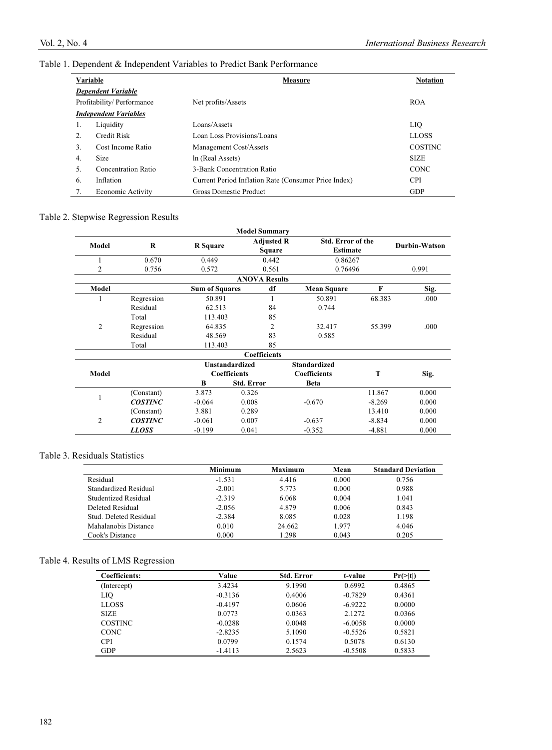## Table 1. Dependent & Independent Variables to Predict Bank Performance

| Variable |                              | Measure                                              | <b>Notation</b> |
|----------|------------------------------|------------------------------------------------------|-----------------|
|          | <b>Dependent Variable</b>    |                                                      |                 |
|          | Profitability/Performance    | Net profits/Assets                                   | <b>ROA</b>      |
|          | <b>Independent Variables</b> |                                                      |                 |
| 1.       | Liquidity                    | Loans/Assets                                         | LIQ             |
| 2.       | Credit Risk                  | Loan Loss Provisions/Loans                           | <b>LLOSS</b>    |
| 3.       | Cost Income Ratio            | Management Cost/Assets                               | <b>COSTINC</b>  |
| 4.       | Size                         | ln (Real Assets)                                     | <b>SIZE</b>     |
| 5.       | Concentration Ratio          | 3-Bank Concentration Ratio                           | <b>CONC</b>     |
| 6.       | Inflation                    | Current Period Inflation Rate (Consumer Price Index) | <b>CPI</b>      |
| 7.       | <b>Economic Activity</b>     | <b>Gross Domestic Product</b>                        | <b>GDP</b>      |

## Table 2. Stepwise Regression Results

|                |                |                       | <b>Model Summary</b>  |                          |          |               |
|----------------|----------------|-----------------------|-----------------------|--------------------------|----------|---------------|
| Model          | $\bf R$        | <b>R</b> Square       | <b>Adjusted R</b>     | <b>Std. Error of the</b> |          | Durbin-Watson |
|                |                |                       | <b>Square</b>         | <b>Estimate</b>          |          |               |
| 1              | 0.670          | 0.449                 | 0.442                 | 0.86267                  |          |               |
| 2              | 0.756          | 0.572                 | 0.561                 | 0.76496                  |          | 0.991         |
|                |                |                       | <b>ANOVA Results</b>  |                          |          |               |
| Model          |                | <b>Sum of Squares</b> | df                    | <b>Mean Square</b>       | F        | Sig.          |
|                | Regression     | 50.891                | 1                     | 50.891                   | 68.383   | .000          |
|                | Residual       | 62.513                | 84                    | 0.744                    |          |               |
|                | Total          | 113.403               | 85                    |                          |          |               |
| $\overline{2}$ | Regression     | 64.835                | 2                     | 32.417                   | 55.399   | .000          |
|                | Residual       | 48.569                | 83                    | 0.585                    |          |               |
|                | Total          | 113.403               | 85                    |                          |          |               |
|                |                |                       | <b>Coefficients</b>   |                          |          |               |
|                |                |                       | <b>Unstandardized</b> | <b>Standardized</b>      |          |               |
| Model          |                |                       | <b>Coefficients</b>   | <b>Coefficients</b>      | T        | Sig.          |
|                |                | B                     | <b>Std. Error</b>     | <b>Beta</b>              |          |               |
| 1              | (Constant)     | 3.873                 | 0.326                 |                          | 11.867   | 0.000         |
|                | <b>COSTINC</b> | $-0.064$              | 0.008                 | $-0.670$                 | $-8.269$ | 0.000         |
|                | (Constant)     | 3.881                 | 0.289                 |                          | 13.410   | 0.000         |
| $\overline{2}$ | <b>COSTINC</b> | $-0.061$              | 0.007                 | $-0.637$                 | $-8.834$ | 0.000         |
|                | LLOSS          | $-0.199$              | 0.041                 | $-0.352$                 | $-4.881$ | 0.000         |

#### Table 3. Residuals Statistics

|                        | <b>Minimum</b> | <b>Maximum</b> | Mean  | <b>Standard Deviation</b> |
|------------------------|----------------|----------------|-------|---------------------------|
| Residual               | $-1.531$       | 4.416          | 0.000 | 0.756                     |
| Standardized Residual  | $-2.001$       | 5.773          | 0.000 | 0.988                     |
| Studentized Residual   | $-2.319$       | 6.068          | 0.004 | 1.041                     |
| Deleted Residual       | $-2.056$       | 4.879          | 0.006 | 0.843                     |
| Stud. Deleted Residual | $-2.384$       | 8.085          | 0.028 | 1.198                     |
| Mahalanobis Distance   | 0.010          | 24.662         | 1.977 | 4.046                     |
| Cook's Distance        | 0.000          | 1.298          | 0.043 | 0.205                     |

## Table 4. Results of LMS Regression

| Coefficients:  | Value     | <b>Std. Error</b> | t-value   | $Pr(>\mid t )$ |
|----------------|-----------|-------------------|-----------|----------------|
| (Intercept)    | 3.4234    | 9.1990            | 0.6992    | 0.4865         |
| LIQ            | $-0.3136$ | 0.4006            | $-0.7829$ | 0.4361         |
| <b>LLOSS</b>   | $-0.4197$ | 0.0606            | $-6.9222$ | 0.0000         |
| <b>SIZE</b>    | 0.0773    | 0.0363            | 2.1272    | 0.0366         |
| <b>COSTINC</b> | $-0.0288$ | 0.0048            | $-6.0058$ | 0.0000         |
| <b>CONC</b>    | $-2.8235$ | 5.1090            | $-0.5526$ | 0.5821         |
| <b>CPI</b>     | 0.0799    | 0.1574            | 0.5078    | 0.6130         |
| GDP            | $-1.4113$ | 2.5623            | $-0.5508$ | 0.5833         |